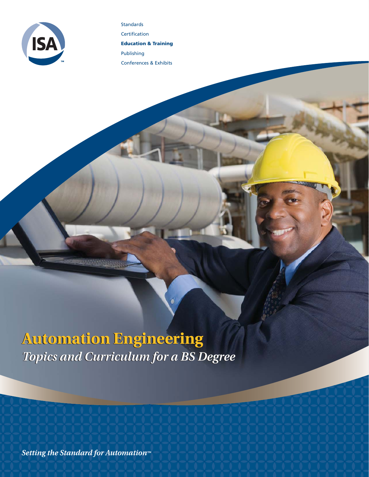

Certification **Education & Training** Publishing Conferences & Exhibits

Standards

# **Automation Engineering Automation Engineering** *Topics and Curriculum for a BS Degree Topics and Curriculum for a BS Degree*

Setting the Standard for Automation™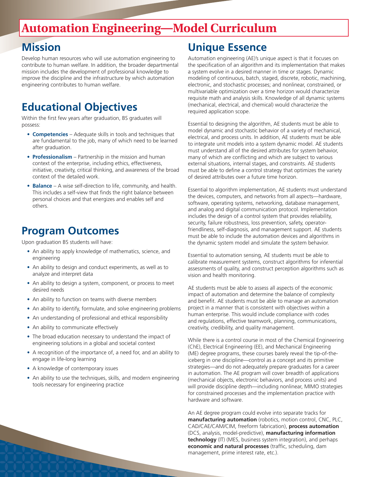## **Automation Engineering—Model Curriculum**

## **Mission**

Develop human resources who will use automation engineering to contribute to human welfare. In addition, the broader departmental mission includes the development of professional knowledge to improve the discipline and the infrastructure by which automation engineering contributes to human welfare.

## **Educational Objectives**

Within the first few years after graduation, BS graduates will possess:

- **Competencies** Adequate skills in tools and techniques that are fundamental to the job, many of which need to be learned after graduation.
- **Professionalism** Partnership in the mission and human context of the enterprise, including ethics, effectiveness, initiative, creativity, critical thinking, and awareness of the broad context of the detailed work.
- **Balance** A wise self-direction to life, community, and health. This includes a self-view that finds the right balance between personal choices and that energizes and enables self and others.

## **Program Outcomes**

Upon graduation BS students will have:

- An ability to apply knowledge of mathematics, science, and engineering
- An ability to design and conduct experiments, as well as to analyze and interpret data
- An ability to design a system, component, or process to meet desired needs
- An ability to function on teams with diverse members
- An ability to identify, formulate, and solve engineering problems
- An understanding of professional and ethical responsibility
- An ability to communicate effectively
- The broad education necessary to understand the impact of engineering solutions in a global and societal context
- A recognition of the importance of, a need for, and an ability to engage in life-long learning
- A knowledge of contemporary issues
- An ability to use the techniques, skills, and modern engineering tools necessary for engineering practice

## **Unique Essence**

Automation engineering (AE)'s unique aspect is that it focuses on the specification of an algorithm and its implementation that makes a system evolve in a desired manner in time or stages. Dynamic modeling of continuous, batch, staged, discrete, robotic, machining, electronic, and stochastic processes; and nonlinear, constrained, or multivariable optimization over a time horizon would characterize requisite math and analysis skills. Knowledge of all dynamic systems (mechanical, electrical, and chemical) would characterize the required application scope.

Essential to designing the algorithm, AE students must be able to model dynamic and stochastic behavior of a variety of mechanical, electrical, and process units. In addition, AE students must be able to integrate unit models into a system dynamic model. AE students must understand all of the desired attributes for system behavior, many of which are conflicting and which are subject to various external situations, internal stages, and constraints. AE students must be able to define a control strategy that optimizes the variety of desired attributes over a future time horizon.

Essential to algorithm implementation, AE students must understand the devices, computers, and networks from all aspects—hardware, software, operating systems, networking, database management, and analog and digital communication protocol. Implementation includes the design of a control system that provides reliability, security, failure robustness, loss prevention, safety, operatorfriendliness, self-diagnosis, and management support. AE students must be able to include the automation devices and algorithms in the dynamic system model and simulate the system behavior.

Essential to automation sensing, AE students must be able to calibrate measurement systems, construct algorithms for inferential assessments of quality, and construct perception algorithms such as vision and health monitoring.

AE students must be able to assess all aspects of the economic impact of automation and determine the balance of complexity and benefit. AE students must be able to manage an automation project in a manner that is consistent with objectives within a human enterprise. This would include compliance with codes and regulations, effective teamwork, planning, communications, creativity, credibility, and quality management.

While there is a control course in most of the Chemical Engineering (ChE), Electrical Engineering (EE), and Mechanical Engineering (ME) degree programs, these courses barely reveal the tip-of-theiceberg in one discipline—control as a concept and its primitive strategies—and do not adequately prepare graduates for a career in automation. The AE program will cover breadth of applications (mechanical objects, electronic behaviors, and process units) and will provide discipline depth—including nonlinear, MIMO strategies for constrained processes and the implementation practice with hardware and software.

An AE degree program could evolve into separate tracks for **manufacturing automation** (robotics, motion control, CNC, PLC, CAD/CAE/CAM/CIM, freeform fabrication), **process automation** (DCS, analysis, model-predictive), **manufacturing information technology** (IT) (MES, business system integration), and perhaps **economic and natural processes** (traffic, scheduling, dam management, prime interest rate, etc.).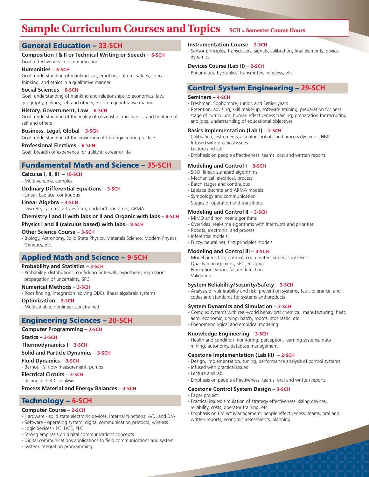## **Sample Curriculum Courses and Topics** SCH = Semester Course Hours

### **General Education – 33-SCH**

### **Composition I & II or Technical Writing or Speech – 6-SCH**

Goal: effectiveness in communication

### **Humanities** – **6-SCH**

Goal: understanding of mankind, art, emotion, culture, values, critical thinking, and ethics in a qualitative manner

### **Social Sciences** – **6-SCH**

Goal: understanding of mankind and relationships to economics, law, geography, politics, self and others, etc. in a quantitative manner

#### **History, Government, Law** – **6-SCH**

Goal: understanding of the reality of citizenship, mechanics, and heritage of self and others

### **Business, Legal, Global** – **3-SCH**

Goal: understanding of the environment for engineering practice **Professional Electives** – **6-SCH**

Goal: breadth of experience for utility in career or life

### **Fundamental Math and Science – 35-SCH**

### **Calculus I, II, III** – **10-SCH**

- Multi-variable, complex

### **Ordinary Differential Equations** – **3-SCH**

- Linear, Laplace, continuous

### **Linear Algebra** – **3-SCH**

- Discrete, systems, Z-transform, backshift operators, ARMA

**Chemistry I and II with labs or II and Organic with labs** – **8-SCH**

### **Physics I and II (calculus based) with labs** – **8-SCH**

### **Other Science Course** – **3-SCH**

- Biology, Astronomy, Solid State Physics, Materials Science, Modern Physics, Genetics, etc.

### **Applied Math and Science – 9-SCH**

### **Probability and Statistics** – **3-SCH**

- Probability, distributions, confidence intervals, hypothesis, regression, propagation of uncertainty, SPC

#### **Numerical Methods** – **3-SCH**

- Root finding, integration, solving ODEs, linear algebraic systems

#### **Optimization** – **3-SCH** - Multivariable, nonlinear, constrained

## **Engineering Sciences – 20-SCH**

### **Computer Programming** – **2-SCH**

**Statics** – **3-SCH**

#### **Thermodynamics I** – **3-SCH**

**Solid and Particle Dynamics** – **3-SCH**

#### **Fluid Dynamics** – **3-SCH** - Bernoulli's, flow measurement, pumps

**Electrical Circuits** – **3-SCH** - dc and ac L-R-C analysis

### **Process Material and Energy Balances** – **3-SCH**

### **Technology – 6-SCH**

### **Computer Course** – **2-SCH**

- Hardware solid state electronic devices, internal functions, A/D, and D/A
- Software operating system, digital communication protocol, wireless
- Logic devices PC, DCS, PLC
- Strong emphasis on digital communications concepts
- Digital communications applications to field communications and system
- System integration programming

### **Instrumentation Course** – **2-SCH**

- Sensor principles, transducers, signals, calibration, final elements, device dynamics

### **Devices Course (Lab II)** – **2-SCH**

- Pneumatics, hydraulics, transmitters, wireless, etc.

### **Control System Engineering – 29-SCH**

### **Seminars** – **4-SCH**

- Freshman, Sophomore, Junior, and Senior years
- Retention, advising, skill make-up, software training, preparation for next stage of curriculum, human effectiveness training, preparation for recruiting and jobs, understanding of educational objectives

### **Basics Implementation (Lab I)** – **2-SCH**

- Calibration, instruments, actuators, robotic and process dynamics, HMI
- Infused with practical issues
- Lecture and lab
- Emphasis on people effectiveness, teams, oral and written reports

### **Modeling and Control I** – **3-SCH**

- SISO, linear, standard algorithms
- Mechanical, electrical, process
- Batch stages and continuous
- Laplace discrete and ARMA models
- Symbology and communication
- Stages of operation and transitions

### **Modeling and Control II** – **3-SCH**

- MIMO and nonlinear algorithms
	- Overrides, real-time algorithms with interrupts and priorities
	- Robots, electronic, and process
	- Inferential models
	- Fuzzy, neural net, first principles models

### **Modeling and Control III** – **3-SCH**

- Model predictive, optimal, coordinated, supervisory levels
- Quality management, SPC, 6-sigma
- Perception, vision, failure detection
- Validation

### **System Reliability/Security/Safety** – **3-SCH**

- Analysis of vulnerability and risk, prevention systems, fault tolerance, and codes and standards for systems and products

### **System Dynamics and Simulation** – **3-SCH**

- Complex systems with real-world behaviors: chemical, manufacturing, heat,
- aero, economic, drying, batch, robots, stochastic, etc.
- Phenomenological and empirical modeling

### **Knowledge Engineering** – **3-SCH**

- Health and condition monitoring, perception, learning systems, data mining, autonomy, database management

### **Capstone Implementation (Lab III)** – **2-SCH**

- Design, implementation, tuning, performance analysis of control systems
- Infused with practical issues
- Lecture and lab
- Emphasis on people effectiveness, teams, oral and written reports

### **Capstone Control System Design** – **3-SCH**

- Paper project
- Practical issues: simulation of strategy effectiveness, sizing devices, reliability, costs, operator training, etc.
- Emphasis on Project Management: people effectiveness, teams, oral and written reports, economic assessments, planning